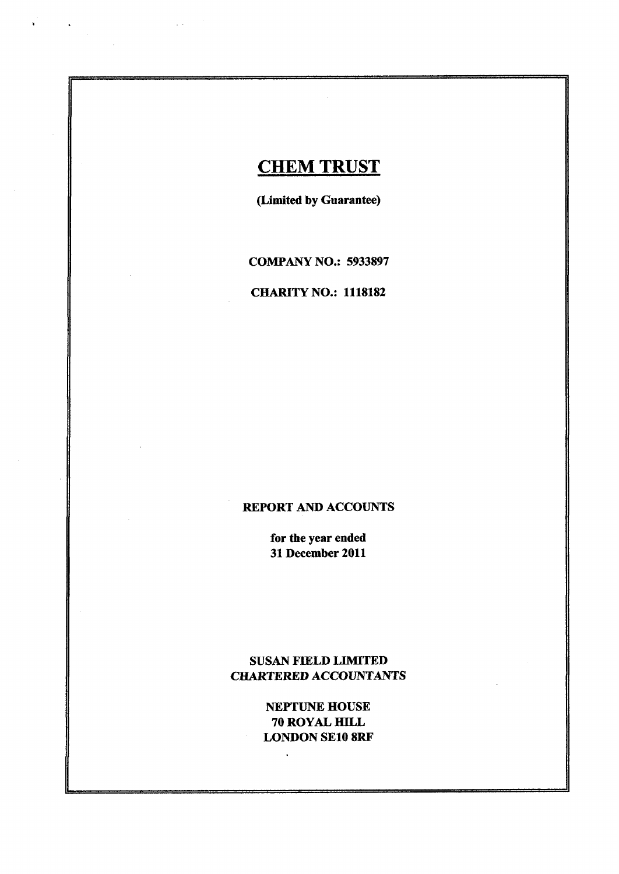# **CHEM TRUST**

 $\sim 10$ 

(Limited by Guarantee)

COMPANY NO.: <sup>5933897</sup>

## **CHARITY NO.: 1118182**

# REPORT AND ACCOUNTS

for the year ended 31 December 2011

# SUSAN FIELD LIMITED CHARTERED ACCOUNTANTS

NEPTUNE HOUSE 70 ROYAL HILL LONDON SE108RF

 $\ddot{\phantom{a}}$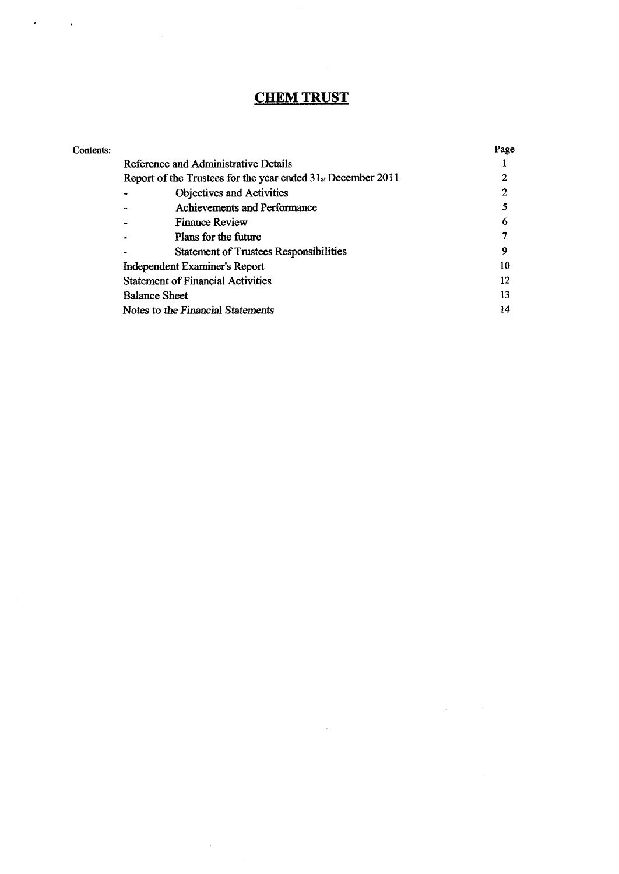# **CHEM TRUST**

| Contents: |                                                              | Page |
|-----------|--------------------------------------------------------------|------|
|           | Reference and Administrative Details                         |      |
|           | Report of the Trustees for the year ended 31st December 2011 |      |
|           | Objectives and Activities                                    |      |
|           | Achievements and Performance                                 |      |
|           | <b>Finance Review</b>                                        | 6    |
|           | Plans for the future                                         |      |
|           | <b>Statement of Trustees Responsibilities</b>                | 9    |
|           | <b>Independent Examiner's Report</b>                         | 10   |
|           | <b>Statement of Financial Activities</b>                     | 12   |
|           | <b>Balance Sheet</b>                                         | 13   |
|           | Notes to the Financial Statements                            | 14   |
|           |                                                              |      |

 $\alpha$  ,  $\beta$ 

 $\mathcal{L}_{\text{max}}$  and  $\mathcal{L}_{\text{max}}$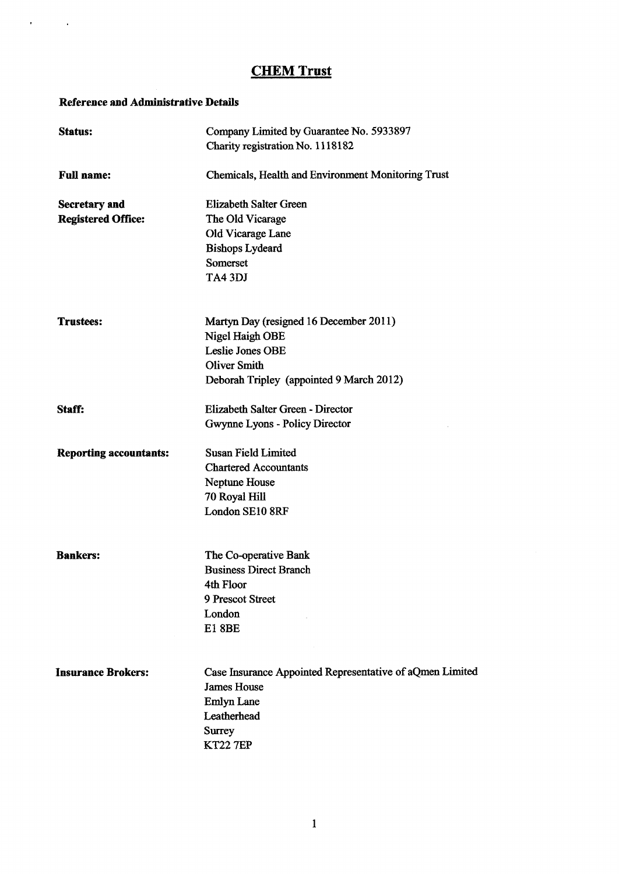### Reference and Administrative Details

 $\alpha$  and  $\alpha$  and  $\alpha$ 

| <b>Status:</b>                | Company Limited by Guarantee No. 5933897<br>Charity registration No. 1118182 |
|-------------------------------|------------------------------------------------------------------------------|
| <b>Full name:</b>             | <b>Chemicals, Health and Environment Monitoring Trust</b>                    |
| <b>Secretary and</b>          | <b>Elizabeth Salter Green</b>                                                |
| <b>Registered Office:</b>     | The Old Vicarage                                                             |
|                               | Old Vicarage Lane                                                            |
|                               | <b>Bishops Lydeard</b>                                                       |
|                               | Somerset                                                                     |
|                               | TA43DJ                                                                       |
| <b>Trustees:</b>              | Martyn Day (resigned 16 December 2011)                                       |
|                               | Nigel Haigh OBE                                                              |
|                               | <b>Leslie Jones OBE</b>                                                      |
|                               | <b>Oliver Smith</b>                                                          |
|                               | Deborah Tripley (appointed 9 March 2012)                                     |
| Staff:                        | Elizabeth Salter Green - Director                                            |
|                               | Gwynne Lyons - Policy Director                                               |
| <b>Reporting accountants:</b> | <b>Susan Field Limited</b>                                                   |
|                               | <b>Chartered Accountants</b>                                                 |
|                               | Neptune House                                                                |
|                               | 70 Royal Hill                                                                |
|                               | London SE10 8RF                                                              |
| <b>Bankers:</b>               | The Co-operative Bank                                                        |
|                               | <b>Business Direct Branch</b>                                                |
|                               | 4th Floor                                                                    |
|                               | 9 Prescot Street                                                             |
|                               | London                                                                       |
|                               | <b>E18BE</b>                                                                 |
| <b>Insurance Brokers:</b>     | Case Insurance Appointed Representative of aQmen Limited                     |
|                               | <b>James House</b>                                                           |
|                               | Emlyn Lane                                                                   |
|                               | Leatherhead                                                                  |
|                               | <b>Surrey</b>                                                                |
|                               | <b>KT22 7EP</b>                                                              |
|                               |                                                                              |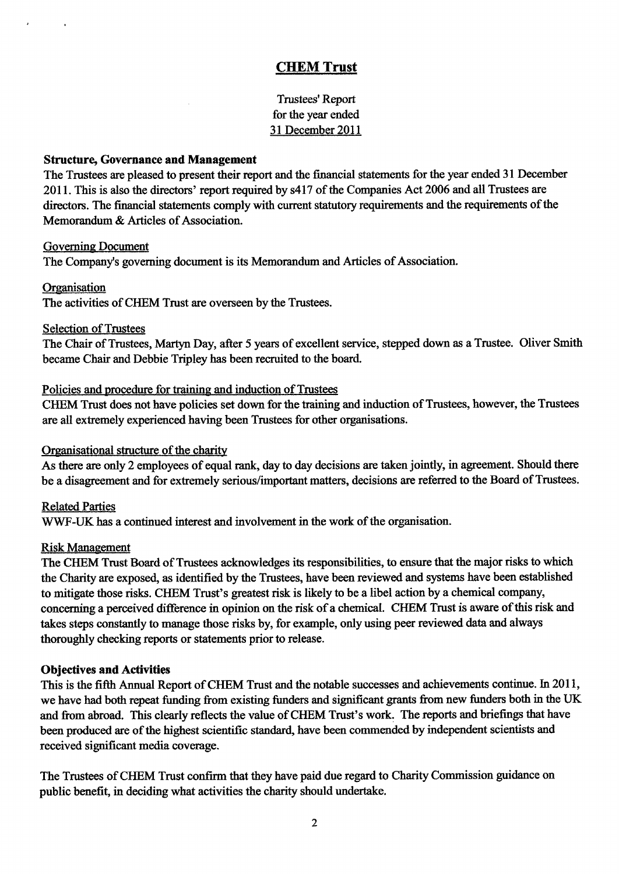Trustees' Report for the year ended 31 December 2011

### Structure, Governance and Management

The Trustees are pleased to present their report and the financial statements for the year ended 31 December 2011. This is also the directors' report required by s417 of the Companies Act 2006 and all Trustees are directors. The financial statements comply with current statutory requirements and the requirements of the Memorandum & Articles of Association.

### Governing Document

The Company's governing document is its Memorandum and Articles of Association,

### Organisation

The activities of CHEM Trust are overseen by the Trustees.

### Selection of Trustees

The Chair of Trustees, Martyn Day, after 5 years of excellent service, stepped down as a Trustee. Oliver Smith became Chair and Debbie Tripley has been recruited to the board.

### Policies and procedure for training and induction of Trustees

CHEM Trust does not have policies set down for the training and induction of Trustees, however, the Trustees are all extremely experienced having been Trustees for other organisations.

## Organisational structure of the charity

As there are only 2 employees of equal rank, day to day decisions are taken jointly, in agreement. Should there be a disagreement and for extremely serious/important matters, decisions are referred to the Board of Trustees.

## Related Parties

WWF-UK has a continued interest and involvement in the work of the organisation.

### Risk Management

The CHEM Trust Board of Trustees acknowledges its responsibilities, to ensure that the major risks to which the Charity are exposed, as identified by the Trustees, have been reviewed and systems have been established to mitigate those risks. CHEM Trust's greatest risk is likely to be a libel action by a chemical company, concerning a perceived difference in opinion on the risk of a chemical. CHEM Trust is aware of this risk and takes steps constantly to manage those risks by, for example, only using peer reviewed data and always thoroughly checking reports or statements prior to release.

## Objectives and Activities

This is the fifth Annual Report of CHEM Trust and the notable successes and achievements continue. In 2011, we have had both repeat funding from existing funders and significant grants from new funders both in the UK and from abroad. This clearly reflects the value of CHEM Trust's work. The reports and briefings that have been produced are of the highest scientific standard, have been commended by independent scientists and received significant media coverage.

The Trustees of CHEM Trust confirm that they have paid due regard to Charity Commission guidance on public benefit, in deciding what activities the charity should undertake.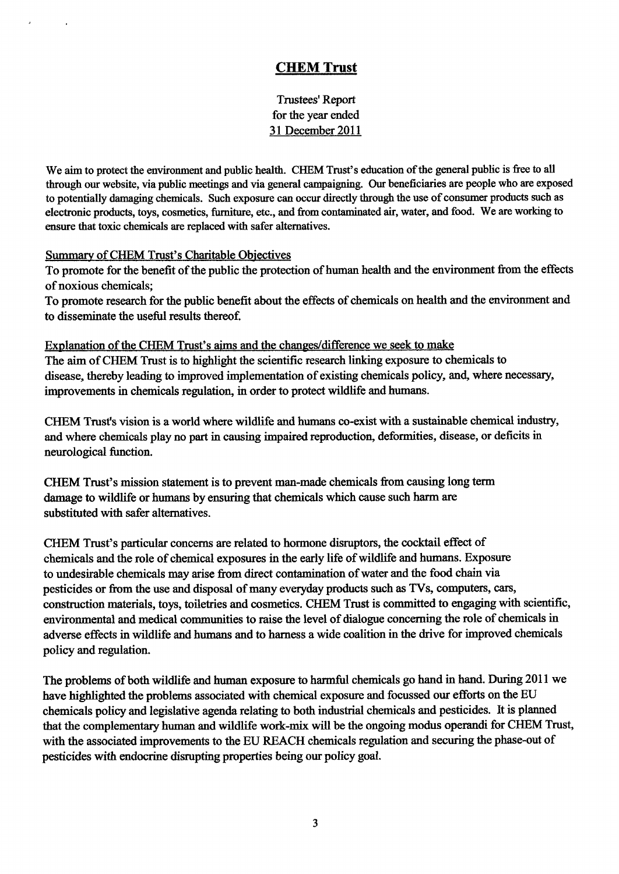Trustees' Report for the year ended 31 December 2011

We aim to protect the environment and public health. CHEM Trust's education of the general public is free to all through our website, via public meetings and via general campaigning. Our beneficiaries are people who are exposed to potentially damaging chemicals. Such exposure can occur directly through the use of consumer products such as electronic products, toys, cosmetics, furniture, etc., and from contaminated air, water, and food. We are working to ensure that toxic chemicals are replaced with safer alternatives.

## Summary of CHEM Trust's Charitable Objectives

To promote for the benefit of the public the protection of human health and the environment from the effects of noxious chemicals;

To promote research for the public benefit about the effects of chemicals on health and the environment and to disseminate the useful results thereof.

## Explanation of the CHEM Trust's aims and the changes/difference we seek to make The aim ofCHEM Trust is to highlight the scientific research linking exposure to chemicals to disease, thereby leading to improved implementation of existing chemicals policy, and, where necessary, improvements in chemicals regulation, in order to protect wildlife and humans.

CHEM Trust's vision is a world where wildlife and humans co-exist with a sustainable chemical industry, and where chemicals play no part in causing impaired reproduction, deformities, disease, or deficits in neurological function.

CHEM Trust's mission statement is to prevent man-made chemicals from causing long term damage to wildlife or humans by ensuring that chemicals which cause such harm are substituted with safer alternatives.

CHEM Trust's particular concerns are related to hormone disruptors, the cocktail effect of chemicals and the role of chemical exposures in the early life of wildlife and humans. Exposure to undesirable chemicals may arise from direct contamination of water and the food chain via pesticides or from the use and disposal of many everyday products such as TVs, computers, cars, construction materials, toys, toiletries and cosmetics. CHEM Trust is committed to engaging with scientific, environmental and medical communities to raise the level of dialogue concerning the role of chemicals in adverse effects in wildlife and humans and to harness a wide coalition in the drive for improved chemicals policy and regulation.

The problems of both wildlife and human exposure to harmful chemicals go hand in hand. During 2011 we have highlighted the problems associated with chemical exposure and focussed our efforts on the EU chemicals policy and legislative agenda relating to both industrial chemicals and pesticides. It is planned that the complementary human and wildlife work-mix will be the ongoing modus operandi for CHEM Trust, with the associated improvements to the EU REACH chemicals regulation and securing the phase-out of pesticides with endocrine disrupting properties being our policy goal.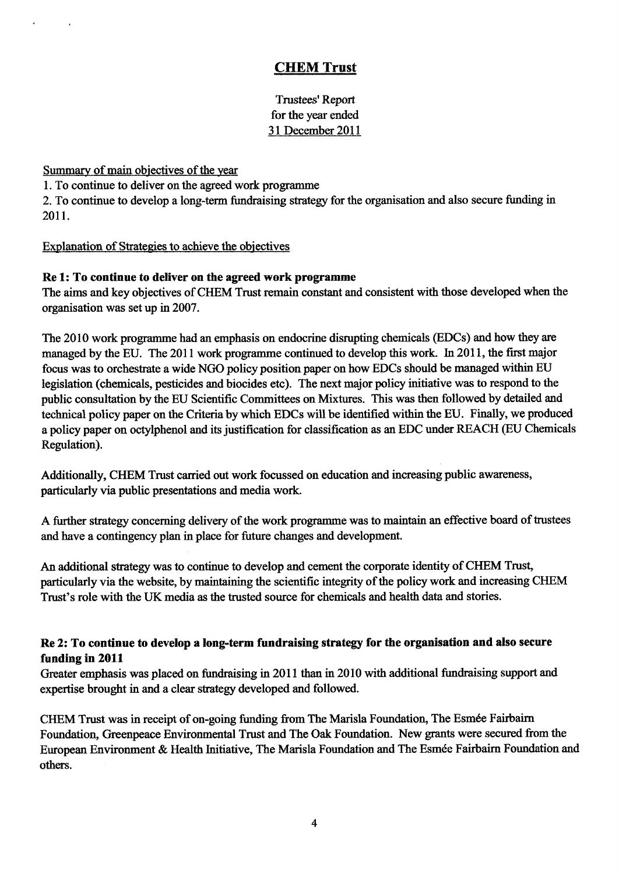Trustees' Report for the year ended 31 December 2011

Summary of main objectives of the year

1.To continue to deliver on the agreed work programme

2. To continue to develop a long-term fundraising strategy for the organisation and also secure funding in 2011.

Explanation of Strategies to achieve the objectives

## Re 1:To continue to deliver on the agreed work programme

The aims and key objectives of CHEM Trust remain constant and consistent with those developed when the organisation was set up in 2007.

The 2010 work programme had an emphasis on endocrine disrupting chemicals (EDCs) and how they are managed by the EU. The 2011 work programme continued to develop this work. In 2011, the first major focus was to orchestrate a wide NGO policy position paper on how EDCs should be managed within EU legislation (chemicals, pesticides and biocides etc). The next major policy initiative was to respond to the public consultation by the EU Scientific Committees on Mixtures. This was then followed by detailed and technical policy paper on the Criteria by which EDCs will be identified within the EU. Finally, we produced a policy paper on octylphenol and its justification for classification as an EDC under REACH (EU Chemicals Regulation).

Additionally, CHEM Trust carried out work focussed on education and increasing public awareness, particularly via public presentations and media work.

A further strategy concerning delivery of the work programme was to maintain an effective board of trustees and have a contingency plan in place for future changes and development.

An additional strategy was to continue to develop and cement the corporate identity of CHEM Trust, particularly via the website, by maintaining the scientific integrity of the policy work and increasing CHEM Trust's role with the UK media as the trusted source for chemicals and health data and stories.

## Re 2:To continue to develop a long-term fundraising strategy for the organisation and also secure funding in 2011

Greater emphasis was placed on fundraising in 2011 than in 2010 with additional fundraising support and expertise brought in and a clear strategy developed and followed.

CHEM Trust was in receipt of on-going funding from The Marisla Foundation, The Esmée Fairbairn Foundation, Greenpeace Environmental Trust and The Oak Foundation. New grants were secured from the European Environment & Health Initiative, The Marisla Foundation and The Esmée Fairbairn Foundation and others.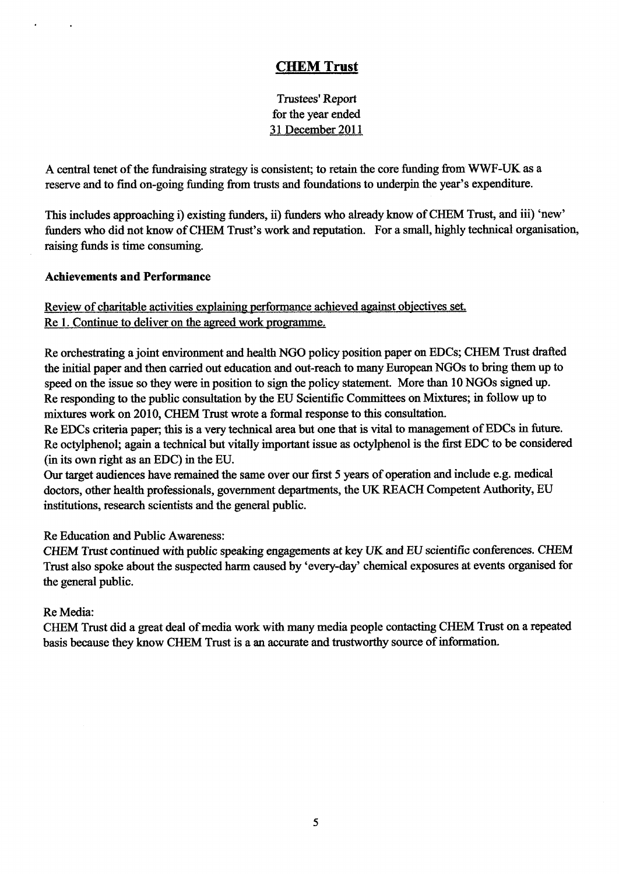Trustees' Report for the year ended 31 December 2011

A central tenet of the fundraising strategy is consistent; to retain the core funding from WWF-UK as a reserve and to find on-going funding from trusts and foundations to underpin the year's expenditure.

This includes approaching i) existing funders, ii) funders who already know of CHEM Trust, and iii) 'new' funders who did not know of CHEM Trust's work and reputation. For a small, highly technical organisation, raising funds is time consuming.

## Achievements and Performance

Review of charitable activities explaining performance achieved against objectives set. Re 1. Continue to deliver on the agreed work programme.

Re orchestrating a joint environment and health NGO policy position paper on EDCs; CHEM Trust drafted the initial paper and then carried out education and out-reach to many European NGOs to bring them up to speed on the issue so they were in position to sign the policy statement. More than 10NGOs signed up. Re responding to the public consultation by the EU Scientific Committees on Mixtures; in follow up to mixtures work on 2010, CHEM Trust wrote a formal response to this consultation.

Re EDCs criteria paper; this is a very technical area but one that is vital to management of EDCs in future. Re octylphenol; again a technical but vitally important issue as octylphenol is the first EDC to be considered (in its own right as an EDC) in the EU.

Our target audiences have remained the same over our first 5 years of operation and include e.g. medical doctors, other health professionals, government departments, the UK REACH Competent Authority, EU institutions, research scientists and the general public.

Re Education and Public Awareness:

CHEM Trust continued with public speaking engagements at key UK and EU scientific conferences. CHEM Trust also spoke about the suspected harm caused by 'every-day' chemical exposures at events organised for the general public.

## Re Media:

CHEM Trust did a great deal of media work with many media people contacting CHEM Trust on a repeated basis because they know CHEM Trust is a an accurate and trustworthy source of information.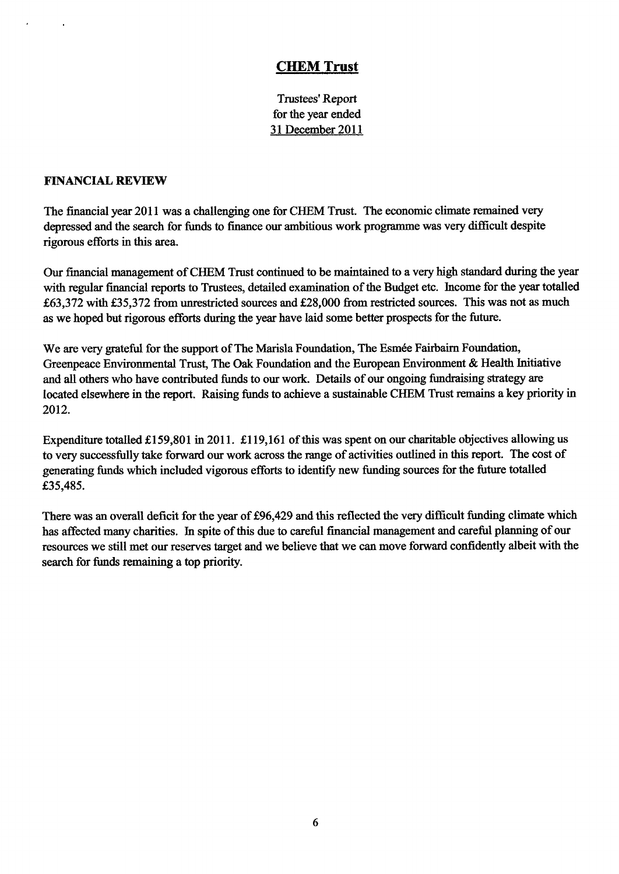Trustees' Report for the year ended 31 December 2011

### FINANCIAL REVIEW

The financial year 2011 was a challenging one for CHEM Trust. The economic climate remained very depressed and the search for funds to finance our ambitious work programme was very difficult despite rigorous efforts in this area.

Our financial management ofCHEM Trust continued to be maintained to a very high standard during the year with regular financial reports to Trustees, detailed examination of the Budget etc. Income for the year totalled f63,372 with f35,372 from unrestricted sources and 628,000 from restricted sources. This was not as much as we hoped but rigorous efforts during the year have laid some better prospects for the future.

We are very grateful for the support of The Marisla Foundation, The Esmée Fairbairn Foundation, Greenpeace Environmental Trust, The Oak Foundation and the European Environment & Health Initiative and all others who have contributed funds to our work. Details of our ongoing fundraising strategy are located elsewhere in the report. Raising funds to achieve a sustainable CHEM Trust remains a key priority in 2012.

Expenditure totalled £159,801 in 2011. £119,161 of this was spent on our charitable objectives allowing us to very successfully take forward our work across the range of activities outlined in this report. The cost of generating funds which included vigorous efforts to identify new funding sources for the future totalled £35,485.

There was an overall deficit for the year of £96,429 and this reflected the very difficult funding climate which has affected many charities. In spite of this due to careful financial management and careful planning of our resources we still met our reserves target and we believe that we can move forward confidently albeit with the search for funds remaining a top priority.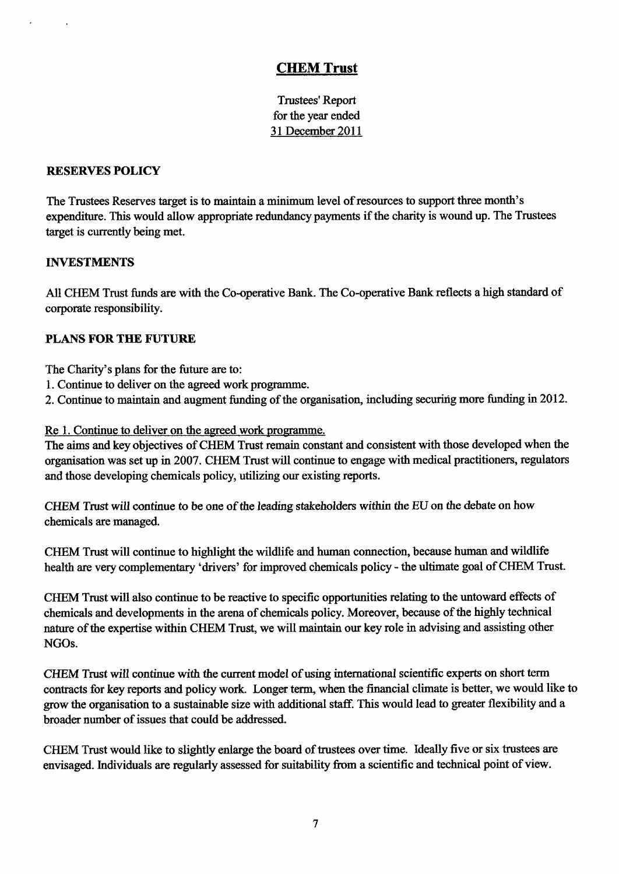Trustees' Report for the year ended 31 December 2011

## RESERVES POLICY

The Trustees Reserves target is to maintain a minimum level ofresources to support three month's expenditure. This would allow appropriate redundancy payments if the charity is wound up. The Trustees target is currently being met.

## INVESTMENTS

All CHEM Trust funds are with the Co-operative Bank. The Co-operative Bank reflects a high standard of corporate responsibility.

## PLANS FOR THE FUTURE

The Charity's plans for the future are to:

- 1.Continue to deliver on the agreed work progranune.
- 2. Continue to maintain and augment funding of the organisation, including securing more funding in 2012.

## Re 1. Continue to deliver on the agreed work programme.

The aims and key objectives of CHEM Trust remain constant and consistent with those developed when the organisation was set up in 2007. CHEM Trust will continue to engage with medical practitioners, regulators and those developing chemicals policy, utilizing our existing reports.

CHEM Trust will continue to be one of the leading stakeholders within the EU on the debate on how chemicals are managed.

CHEM Trust will continue to highlight the wildlife and human connection, because human and wildlife health are very complementary 'drivers' for improved chemicals policy - the ultimate goal of CHEM Trust.

CHEM Trust will also continue to be reactive to specific opportunities relating to the untoward effects of chemicals and developments in the arena of chemicals policy. Moreover, because of the highly technical nature of the expertise within CHEM Trust, we will maintain our key role in advising and assisting other NGOs.

CHEM Trust will continue with the current model of using international scientific experts on short term contracts for key reports and policy work. Longer term, when the financial climate is better, we would like to grow the organisation to a sustainable size with additional staff. This would lead to greater flexibility and a broader number of issues that could be addressed.

CHEM Trust would like to slightly enlarge the board of trustees over time. Ideally five or six trustees are envisaged. Individuals are regularly assessed for suitability from a scientific and technical point of view.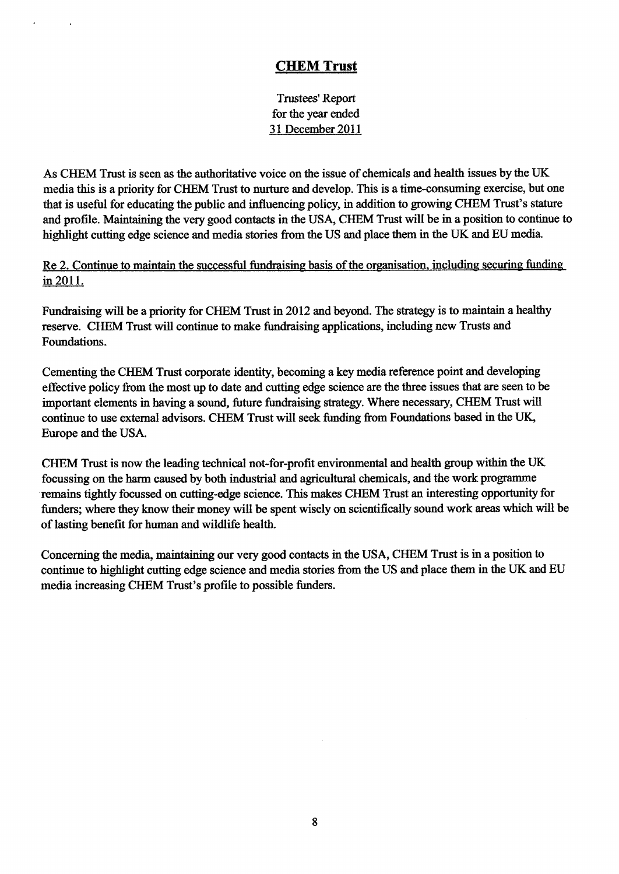Trustees' Report for the year ended 31 December 2011

As CHEM Trust is seen as the authoritative voice on the issue of chemicals and health issues by the UK media this is a priority for CHEM Trust to nurture and develop. This is a time-consuming exercise, but one that is useful for educating the public and influencing policy, in addition to growing CHEM Trust's stature and profile. Maintaining the very good contacts in the USA, CHEM Trust will be in a position to continue to highlight cutting edge science and media stories from the US and place them in the UK and EU media.

Re 2. Continue to maintain the successful fundraising basis of the organisation, including securing funding in 2011.

Fundraising will be a priority for CHEM Trust in 2012 and beyond. The strategy is to maintain a healthy reserve. CHEM Trust will continue to make fundraising applications, including new Trusts and Foundations.

Cementing the CHEM Trust corporate identity, becoming a key media reference point and developing effective policy from the most up to date and cutting edge science are the three issues that are seen to be important elements in having a sound, future fundraising strategy. Where necessary, CHEM Trust will continue to use external advisors. CHEM Trust will seek funding from Foundations based in the UK, Europe and the USA.

CHEM Trust is now the leading technical not-for-profit environmental and health group within the UK focussing on the harm caused by both industrial and agricultural chemicals, and the work programme remains tightly focussed on cutting-edge science. This makes CHEM Trust an interesting opportunity for funders; where they know their money will be spent wisely on scientifically sound work areas which will be of lasting benefit for human and wildlife health.

Concerning the media, maintaining our very good contacts in the USA, CHEM Trust is in a position to continue to highlight cutting edge science and media stories from the US and place them in the UK and EU media increasing CHEM Trust's profile to possible funders.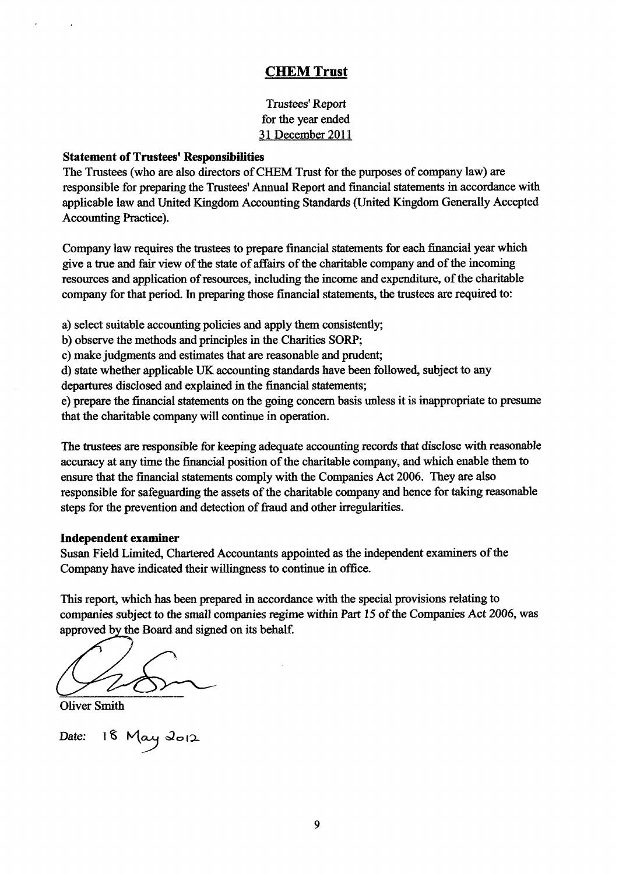Trustees' Report for the year ended 31 December 2011

### Statement of Trustees' Responsibilities

The Trustees (who are also directors ofCHEM Trust for the purposes of company law) are responsible for preparing the Trustees' Annual Report and financial statements in accordance with applicable law and United Kingdom Accounting Standards (United Kingdom Generally Accepted Accounting Practice).

Company law requires the trustees to prepare financial statements for each financial year which give a true and fair view of the state of affairs of the charitable company and of the incoming resources and application of resources, including the income and expenditure, of the charitable company for that period. In preparing those financial statements, the trustees are required to:

a) select suitable accounting policies and apply them consistently;

b) observe the methods and principles in the Charities SORP;

c) make judgments and estimates that are reasonable and prudent;

d) state whether applicable UK accounting standards have been followed, subject to any

departures disclosed and explained in the financial statements;

e) prepare the financial statements on the going concern basis unless it is inappropriate to presume that the charitable company will continue in operation.

The trustees are responsible for keeping adequate accounting records that disclose with reasonable accuracy at any time the financial position of the charitable company, and which enable them to ensure that the financial statements comply with the Companies Act 2006. They are also responsible for safeguarding the assets of the charitable company and hence for taking reasonable steps for the prevention and detection of fraud and other irregularities.

### Independent examiner

Susan Field Limited, Chartered Accountants appointed as the independent examiners ofthe Company have indicated their willingness to continue in oflice.

This report, which has been prepared in accordance with the special provisions relating to companies subject to the small companies regime within Part 15 of the Companies Act 2006, was approved by the Board and signed on its behalf.

Oliver Smith

Date: 18 May 2012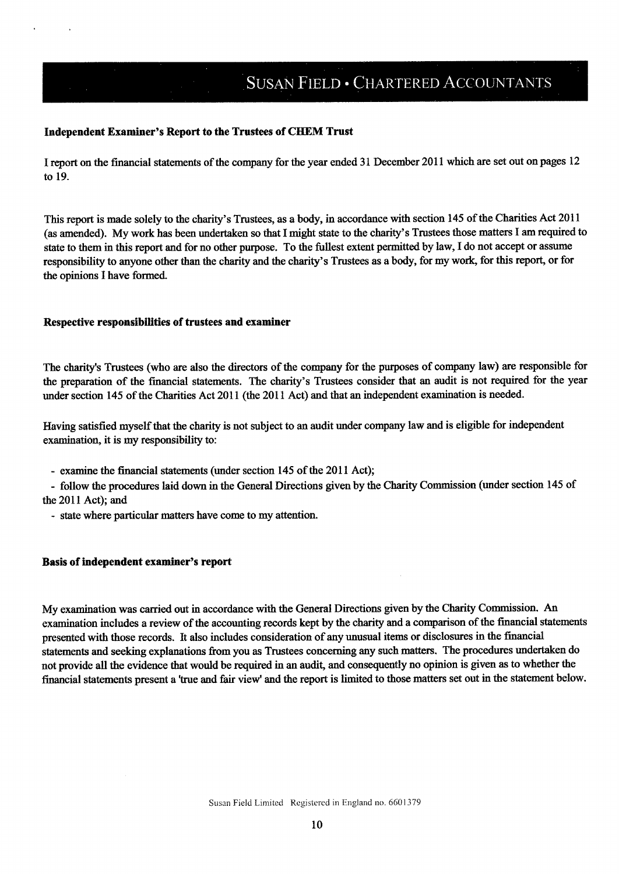# **SUSAN FIELD · CHARTERED ACCOUNTANTS**

### Independent Examiner's Report to the Trustees of CHEM Trust

I report on the financial statements of the company for the year ended 31 December 2011 which are set out on pages 12 to 19.

This report is made solely to the charity's Trustees, as a body, in accordance with section 145 ofthe Charities Act 2011 (as amended). My work has been undertaken so that I might state to the charity's Trustees those matters I am required to state to them in this report and for no other purpose. To the fullest extent permitted by law, I do not accept or assume responsibility to anyone other than the charity and the charity's Trustees as a body, for my work, for this report, or for the opinions I have formed.

#### Respective responsibilities of trustees and examiner

The charity's Trustees (who are also the directors of the company for the purposes of company law) are responsible for the preparation of the financial statements. The charity's Trustees consider that an audit is not required for the year under section 145 of the Charities Act 2011 (the 2011 Act) and that an independent examination is needed.

Having satisfied myself that the charity is not subject to an audit under company law and is eligible for independent examination, it is my responsibility to:

- examine the financial statements (under section 145 of the 2011 Act);

- follow the procedures laid down in the General Directions given by the Charity Commission (under section 145 of the 2011 Act); and

- state where particular matters have come to my attention.

### Basis of independent examiner's report

My examination was carried out in accordance with the General Directions given by the Charity Commission. An examination includes a review of the accounting records kept by the charity and a comparison of the financial statements presented with those records. It also includes consideration of any unusual items or disclosures in the financial statements and seeking explanations from you as Trustees concerning any such matters. The procedures undertaken do not provide all the evidence that would be required in an audit, and consequently no opinion is given as to whether the financial statements present a 'true and fair view' and the report is limited to those matters set out in the statement below.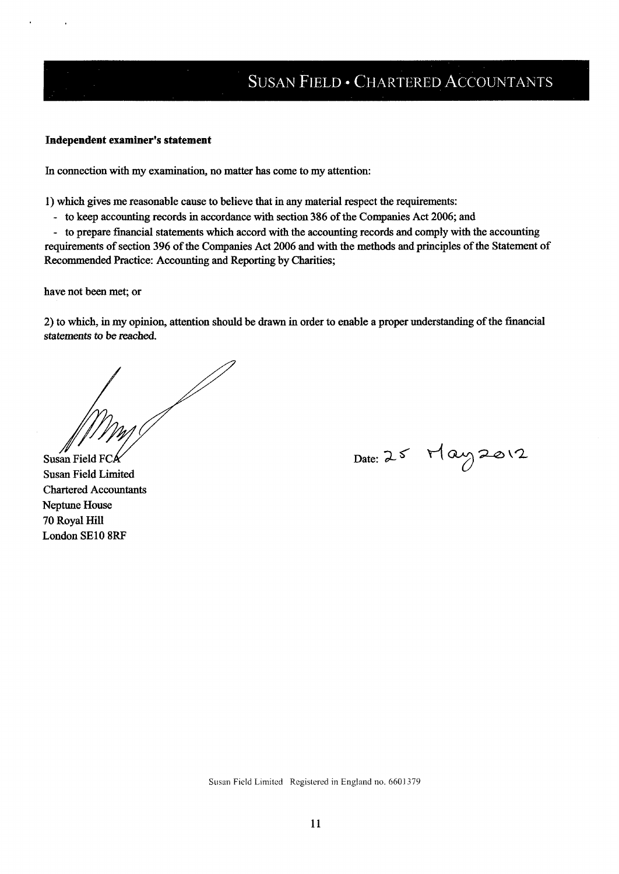### Independent examiner's statement

In connection with my examination, no matter has come to my attention:

1)which gives me reasonable cause to believe that in any material respect the requirements:

- to keep accounting records in accordance with section 386 of the Companies Act 2006; and

- to prepare financial statements which accord with the accounting records and comply with the accounting requirements of section 396 of the Companies Act 2006 and with the methods and principles of the Statement of Recommended Practice: Accounting and Reporting by Charities;

have not been met; or

2) to which, in my opinion, attention should be drawn in order to enable a proper understanding of the financial statements to be reached.

Susan Field FC

Susan Field Limited Chartered Accountants Neptune House 70 Royal Hill London SE10 8RF

Date: 25 May 2012

Susan Field Limited Registered in England no. 660l 379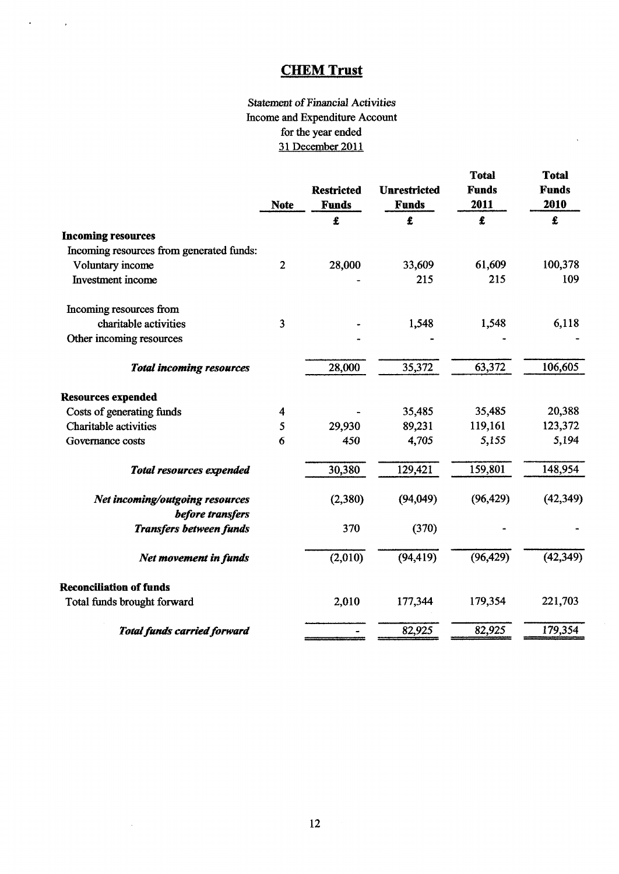$\mathcal{A}^{\text{max}}$  and  $\mathcal{A}^{\text{max}}$ 

# Statement of Financial Activities Income and Expenditure Account for the year ended 31 December 2011

 $\ddot{\phantom{0}}$ 

|                                                     | <b>Note</b>             | <b>Restricted</b><br><b>Funds</b> | <b>Unrestricted</b><br><b>Funds</b> | <b>Total</b><br><b>Funds</b><br>2011 | <b>Total</b><br><b>Funds</b><br>2010 |
|-----------------------------------------------------|-------------------------|-----------------------------------|-------------------------------------|--------------------------------------|--------------------------------------|
|                                                     |                         | £                                 | £                                   | £                                    | £                                    |
| <b>Incoming resources</b>                           |                         |                                   |                                     |                                      |                                      |
| Incoming resources from generated funds:            |                         |                                   |                                     |                                      |                                      |
| Voluntary income                                    | $\overline{2}$          | 28,000                            | 33,609                              | 61,609                               | 100,378                              |
| Investment income                                   |                         |                                   | 215                                 | 215                                  | 109                                  |
| Incoming resources from                             |                         |                                   |                                     |                                      |                                      |
| charitable activities                               | $\overline{\mathbf{3}}$ |                                   | 1,548                               | 1,548                                | 6,118                                |
| Other incoming resources                            |                         |                                   |                                     |                                      |                                      |
| <b>Total incoming resources</b>                     |                         | 28,000                            | 35,372                              | 63,372                               | 106,605                              |
| <b>Resources expended</b>                           |                         |                                   |                                     |                                      |                                      |
| Costs of generating funds                           | 4                       |                                   | 35,485                              | 35,485                               | 20,388                               |
| <b>Charitable activities</b>                        | 5                       | 29,930                            | 89,231                              | 119,161                              | 123,372                              |
| Governance costs                                    | 6                       | 450                               | 4,705                               | 5,155                                | 5,194                                |
| <b>Total resources expended</b>                     |                         | 30,380                            | 129,421                             | 159,801                              | 148,954                              |
| Net incoming/outgoing resources<br>before transfers |                         | (2,380)                           | (94, 049)                           | (96, 429)                            | (42, 349)                            |
| <b>Transfers between funds</b>                      |                         | 370                               | (370)                               |                                      |                                      |
| Net movement in funds                               |                         | (2,010)                           | (94, 419)                           | (96, 429)                            | (42, 349)                            |
| <b>Reconciliation of funds</b>                      |                         |                                   |                                     |                                      |                                      |
| Total funds brought forward                         |                         | 2,010                             | 177,344                             | 179,354                              | 221,703                              |
| <b>Total funds carried forward</b>                  |                         |                                   | 82,925                              | 82,925                               | 179,354                              |

 $\sim$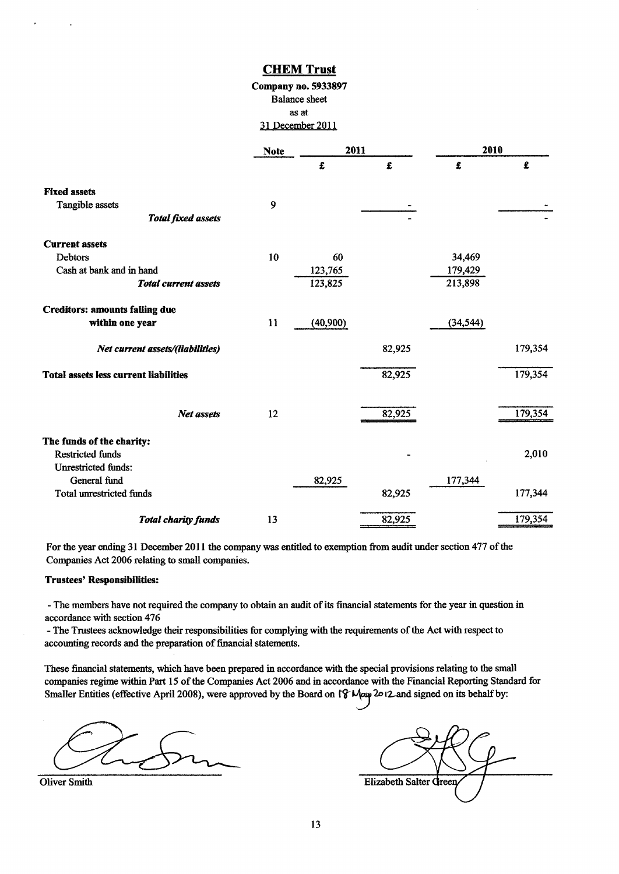# Company no. 5933897 Balance sheet as at '31 December **HEM Trust**<br> **any no. 5933897**<br>
ialance sheet<br>
as at<br>
<u>becember 2011</u><br> **te** 2011

|                                                      | <b>Note</b> | 2011     |        | 2010      |         |
|------------------------------------------------------|-------------|----------|--------|-----------|---------|
|                                                      |             | £        | £      | £         | £       |
| <b>Fixed assets</b>                                  |             |          |        |           |         |
| Tangible assets                                      | 9           |          |        |           |         |
| <b>Total fixed assets</b>                            |             |          |        |           |         |
| <b>Current assets</b>                                |             |          |        |           |         |
| Debtors                                              | 10          | 60       |        | 34,469    |         |
| Cash at bank and in hand                             |             | 123,765  |        | 179,429   |         |
| <b>Total current assets</b>                          |             | 123,825  |        | 213,898   |         |
| <b>Creditors: amounts falling due</b>                |             |          |        |           |         |
| within one year                                      | 11          | (40,900) |        | (34, 544) |         |
| Net current assets/(liabilities)                     |             |          | 82,925 |           | 179,354 |
| <b>Total assets less current liabilities</b>         |             |          | 82,925 |           | 179,354 |
| Net assets                                           | 12          |          | 82,925 |           | 179,354 |
|                                                      |             |          |        |           |         |
| The funds of the charity:<br><b>Restricted funds</b> |             |          |        |           | 2,010   |
| <b>Unrestricted funds:</b>                           |             |          |        |           |         |
| General fund                                         |             | 82,925   |        | 177,344   |         |
| <b>Total unrestricted funds</b>                      |             |          | 82,925 |           | 177,344 |
| <b>Total charity funds</b>                           | 13          |          | 82,925 |           | 179,354 |
|                                                      |             |          |        |           |         |

For the year ending 31 December 2011 the company was entitled to exemption from audit under section 477 of the Companies Act 2006 relating to small companies.

#### Trustees' Responsibilities:

- The members have not required the company to obtain an audit of its financial statements for the year in question in accordance with section 476

- The Trustees acknowledge their responsibilities for complying with the requirements ofthe Act with respect to accounting records and the preparation of financial statements.

These financial statements, which have been prepared in accordance with the special provisions relating to the small companies regime within Part 15 of the Companies Act 2006 and in accordance with the Financial Reporting Standard for Smaller Entities (effective April 2008), were approved by the Board on  $\int \mathcal{F} \mathcal{M}$ au 2012 and signed on its behalf by:

**Oliver Smith** 

| <b>Elizabeth Salter Green</b> |  |
|-------------------------------|--|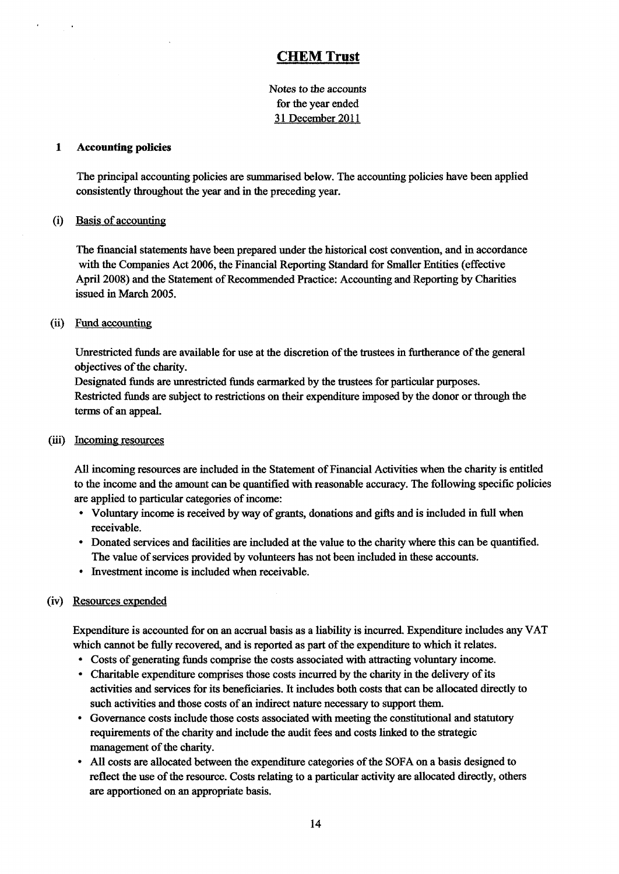Notes to the accounts for the year ended 31 December 2011

### 1 Accounting policies

The principal accounting policies are summarised below. The accounting policies have been applied consistently throughout the year and in the preceding year.

### (i) Basis of accountin

The financial statements have been prepared under the historical cost convention, and in accordance with the Companies Act 2006, the Financial Reporting Standard for Smaller Entities (effective April 2008) and the Statement of Recommended Practice: Accounting and Reporting by Charities issued in March 2005.

### (ii) Fund accounting

Unrestricted funds are available for use at the discretion of the trustees in furtherance of the general objectives of the charity.

Designated funds are unrestricted funds earmarked by the trustees for particular purposes. Restricted funds are subject to restrictions on their expenditure imposed by the donor or through the terms of an appeaL

### (iii) Incoming resources

All incoming resources are included in the Statement of Financial Activities when the charity is entitled to the income and the amount can be quantified with reasonable accuracy. The following specific policies are applied to particular categories of income:

- Voluntary income is received by way of grants, donations and gifts and is included in full when receivable.
- Donated services and facilities are included at the value to the charity where this can be quantified. The value of services provided by volunteers has not been included in these accounts.
- <sup>~</sup> Investment income is included when receivable.

### (iv) Resources expended

Expenditure is accounted for on an accrual basis as a liability is incurred. Expenditure includes any VAT which cannot be fully recovered, and is reported as part of the expenditure to which it relates.

- <sup>~</sup> Costs of generating funds comprise the costs associated with attracting voluntary income.
- <sup>~</sup> Charitable expenditure comprises those costs incurred by the charity in the delivery of its activities and services for its beneficiaries. It includes both costs that can be allocated directly to such activities and those costs of an indirect nature necessary to support them.
- <sup>~</sup> Governance costs include those costs associated with meeting the constitutional and statutory requirements of the charity and include the audit fees and costs linked to the strategic management of the charity.
- <sup>~</sup> All costs are allocated between the expenditure categories ofthe SOFA on a basis designed to reflect the use of the resource. Costs relating to a particular activity are allocated directly, others are apportioned on an appropriate basis,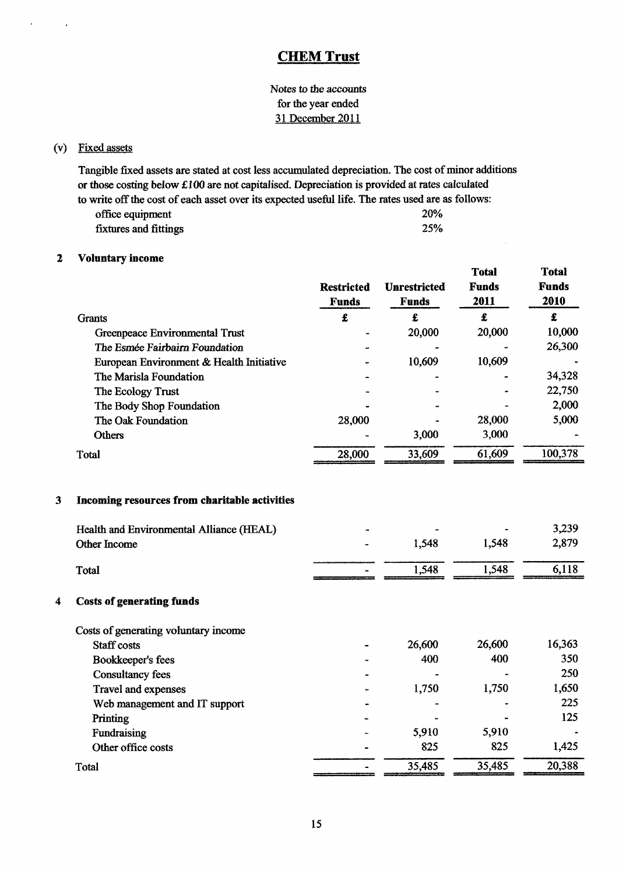Notes to the accounts for the year ended 31 December 2011

### (v) Fixed assets

Tangible fixed assets are stated at cost less accumulated depreciation. The cost of minor additions or those costing below KIOO are not capitalised. Depreciation is provided at rates calculated to write off the cost of each asset over its expected useful life. The rates used are as follows: office equipment 20% fixtures and fittings 25%

### 2 Voluntary income

|   |                                                                                                                  | <b>Restricted</b><br><b>Funds</b> | <b>Unrestricted</b><br><b>Funds</b> | <b>Total</b><br><b>Funds</b><br>2011 | <b>Total</b><br><b>Funds</b><br>2010 |
|---|------------------------------------------------------------------------------------------------------------------|-----------------------------------|-------------------------------------|--------------------------------------|--------------------------------------|
|   | <b>Grants</b>                                                                                                    | £                                 | £                                   | £                                    | £                                    |
|   | Greenpeace Environmental Trust                                                                                   |                                   | 20,000                              | 20,000                               | 10,000                               |
|   | The Esmée Fairbairn Foundation                                                                                   |                                   |                                     |                                      | 26,300                               |
|   | European Environment & Health Initiative                                                                         |                                   | 10,609                              | 10,609                               |                                      |
|   | The Marisla Foundation                                                                                           |                                   |                                     |                                      | 34,328                               |
|   | The Ecology Trust                                                                                                |                                   |                                     |                                      | 22,750                               |
|   | The Body Shop Foundation                                                                                         |                                   |                                     |                                      | 2,000                                |
|   | The Oak Foundation                                                                                               | 28,000                            |                                     | 28,000                               | 5,000                                |
|   | <b>Others</b>                                                                                                    |                                   | 3,000                               | 3,000                                |                                      |
|   | Total                                                                                                            | 28,000                            | 33,609                              | 61,609                               | 100,378                              |
| 3 | Incoming resources from charitable activities<br>Health and Environmental Alliance (HEAL)<br><b>Other Income</b> |                                   | 1,548                               | 1,548                                | 3,239<br>2,879                       |
|   | Total                                                                                                            |                                   | 1,548                               | 1,548                                | 6,118                                |
| 4 | <b>Costs of generating funds</b>                                                                                 |                                   |                                     |                                      |                                      |
|   | Costs of generating voluntary income                                                                             |                                   |                                     |                                      |                                      |
|   | Staff costs                                                                                                      |                                   | 26,600                              | 26,600                               | 16,363                               |
|   | Bookkeeper's fees                                                                                                |                                   | 400                                 | 400                                  | 350                                  |
|   | <b>Consultancy fees</b>                                                                                          |                                   |                                     |                                      | 250                                  |
|   | Travel and expenses                                                                                              |                                   | 1,750                               | 1,750                                | 1,650                                |
|   | Web management and IT support                                                                                    |                                   |                                     |                                      | 225                                  |
|   | Printing                                                                                                         |                                   |                                     |                                      | 125                                  |
|   | Fundraising                                                                                                      |                                   | 5,910                               | 5,910                                |                                      |
|   | Other office costs                                                                                               |                                   | 825                                 | 825                                  | 1,425                                |
|   | Total                                                                                                            |                                   | 35,485                              | 35,485                               | 20,388                               |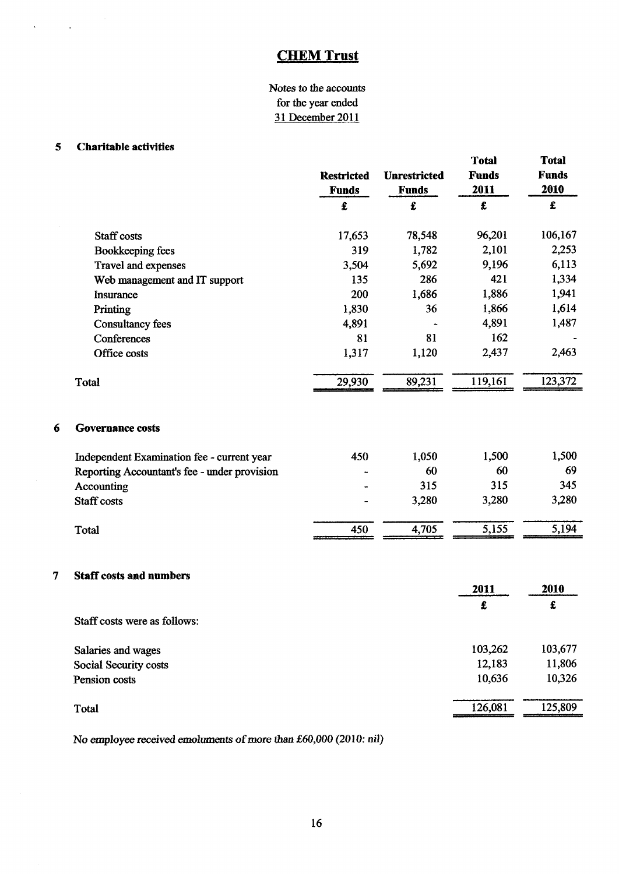## Notes to the accounts for the year ended 31 December 2011

### 5 Charitable activities

 $\sim 10$ 

 $\sim 10^{11}$ 

 $\ddot{\phantom{1}}$ 

|   |                                              | <b>Restricted</b><br><b>Funds</b> | <b>Unrestricted</b><br><b>Funds</b> | <b>Total</b><br><b>Funds</b><br>2011 | <b>Total</b><br><b>Funds</b><br>2010 |
|---|----------------------------------------------|-----------------------------------|-------------------------------------|--------------------------------------|--------------------------------------|
|   |                                              | £                                 | £                                   | £                                    | £                                    |
|   | Staff costs                                  | 17,653                            | 78,548                              | 96,201                               | 106,167                              |
|   | Bookkeeping fees                             | 319                               | 1,782                               | 2,101                                | 2,253                                |
|   | Travel and expenses                          | 3,504                             | 5,692                               | 9,196                                | 6,113                                |
|   | Web management and IT support                | 135                               | 286                                 | 421                                  | 1,334                                |
|   | Insurance                                    | 200                               | 1,686                               | 1,886                                | 1,941                                |
|   | Printing                                     | 1,830                             | 36                                  | 1,866                                | 1,614                                |
|   | <b>Consultancy fees</b>                      | 4,891                             |                                     | 4,891                                | 1,487                                |
|   | Conferences                                  | 81                                | 81                                  | 162                                  |                                      |
|   | Office costs                                 | 1,317                             | 1,120                               | 2,437                                | 2,463                                |
|   | <b>Total</b>                                 | 29,930                            | 89,231                              | 119,161                              | 123,372                              |
| 6 | <b>Governance costs</b>                      |                                   |                                     |                                      |                                      |
|   | Independent Examination fee - current year   | 450                               | 1,050                               | 1,500                                | 1,500                                |
|   | Reporting Accountant's fee - under provision |                                   | 60                                  | 60                                   | 69                                   |
|   | Accounting                                   |                                   | 315                                 | 315                                  | 345                                  |
|   | <b>Staff costs</b>                           |                                   | 3,280                               | 3,280                                | 3,280                                |
|   | Total                                        | 450                               | 4,705                               | 5,155                                | 5,194                                |
| 7 | <b>Staff costs and numbers</b>               |                                   |                                     |                                      |                                      |
|   |                                              |                                   |                                     | 2011                                 | 2010                                 |
|   |                                              |                                   |                                     | £                                    | $\pmb{\epsilon}$                     |
|   | Staff costs were as follows:                 |                                   |                                     |                                      |                                      |
|   | Salaries and wages                           |                                   |                                     | 103,262                              | 103,677                              |
|   | Social Security costs                        |                                   |                                     | 12,183                               | 11,806                               |
|   | Pension costs                                |                                   |                                     | 10,636                               | 10,326                               |

No employee received emoluments of more than £60,000 (2010: nil)

Total 126,081 125,809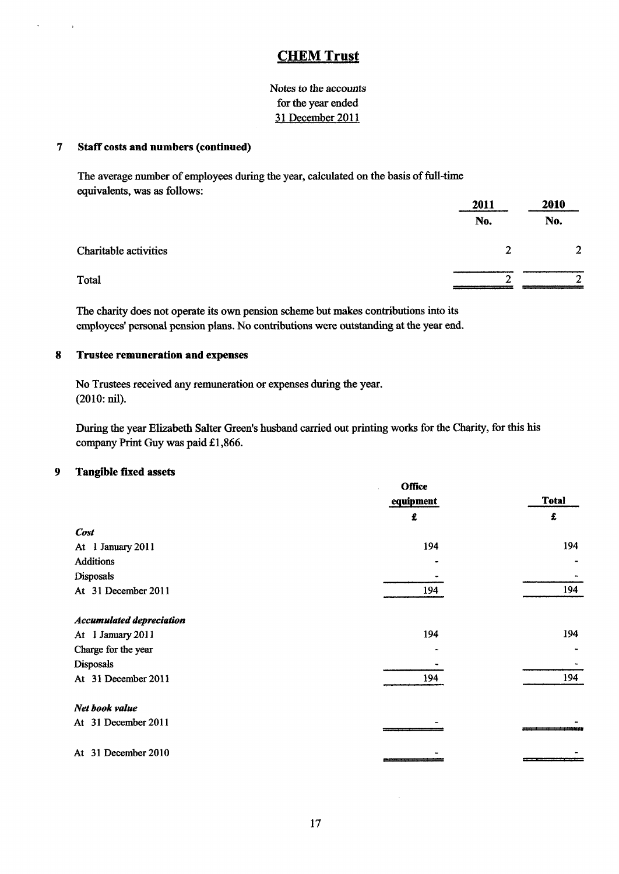Notes to the accounts for the year ended 31 December 2011

### 7 Staff costs and numbers (continued)

The average number of employees during the year, calculated on the basis of full-time equivalents, was as follows:

|                       | 2011     | 2010           |  |
|-----------------------|----------|----------------|--|
|                       | No.      | No.            |  |
| Charitable activities | $\gamma$ | $\overline{2}$ |  |
| Total                 | ◠        | ◠              |  |

The charity does not operate its own pension scheme but makes contributions into its employees' personal pension plans. No contributions were outstanding at the year end.

### 8 Trustee remuneration and expenses

No Trustees received any remuneration or expenses during the year. (2010:nil).

During the year Elizabeth Salter Green's husband carried out printing works for the Charity, for this his company Print Guy was paid £1,866.

#### 9 Tangible 6xed assets

|                                 | <b>Office</b> |              |
|---------------------------------|---------------|--------------|
|                                 | equipment     | <b>Total</b> |
|                                 | £             | £            |
| <b>Cost</b>                     |               |              |
| At 1 January 2011               | 194           | 194          |
| <b>Additions</b>                |               |              |
| Disposals                       |               |              |
| At 31 December 2011             | 194           | 194          |
| <b>Accumulated depreciation</b> |               |              |
| At 1 January 2011               | 194           | 194          |
| Charge for the year             |               |              |
| <b>Disposals</b>                |               |              |
| At 31 December 2011             | 194           | 194          |
| Net book value                  |               |              |
| At 31 December 2011             |               |              |
| At 31 December 2010             |               |              |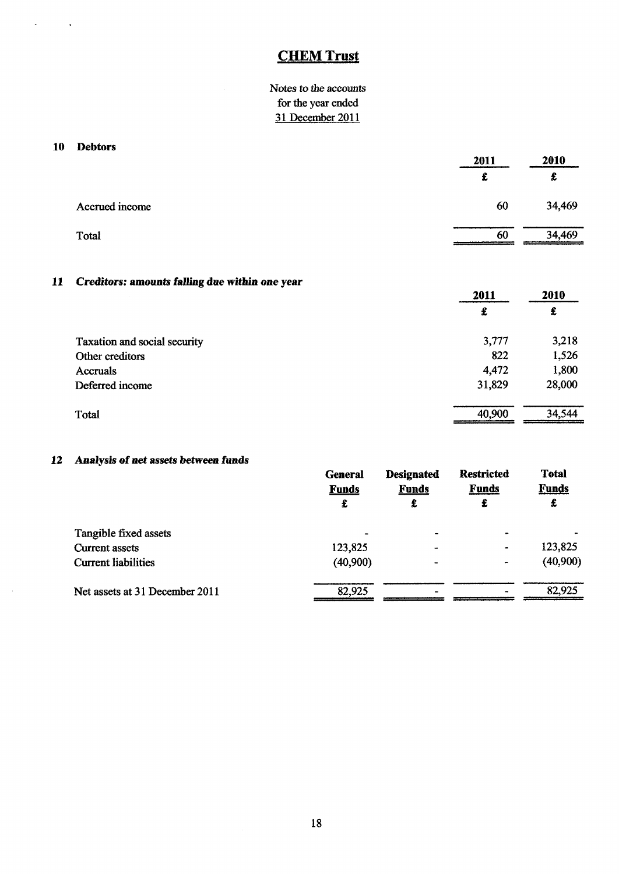Notes to the accounts for the year ended 31 December 2011

### 10 Debtors

 $\bar{\mathbf{v}}$ 

 $\langle \rangle$  a

| 2011 | 2010   |  |
|------|--------|--|
|      | £      |  |
| 60   | 34,469 |  |
| 60   | 34,469 |  |
|      |        |  |

## ll Creditors: amounts falling due within one year

| -                            | 2011   | 2010   |
|------------------------------|--------|--------|
|                              | £      | £      |
| Taxation and social security | 3,777  | 3,218  |
| Other creditors              | 822    | 1,526  |
| <b>Accruals</b>              | 4,472  | 1,800  |
| Deferred income              | 31,829 | 28,000 |
| Total                        | 40,900 | 34,544 |

# 12 Analysis of net assets between funds

|                                | <b>General</b><br><b>Funds</b><br>£ | <b>Designated</b><br><b>Funds</b><br>£ | <b>Restricted</b><br><b>Funds</b><br>£ | <b>Total</b><br><b>Funds</b><br>£ |
|--------------------------------|-------------------------------------|----------------------------------------|----------------------------------------|-----------------------------------|
| Tangible fixed assets          |                                     | $\blacksquare$                         |                                        |                                   |
| <b>Current assets</b>          | 123,825                             | $\blacksquare$                         | $\blacksquare$                         | 123,825                           |
| <b>Current liabilities</b>     | (40,900)                            | ٠                                      | -                                      | (40,900)                          |
| Net assets at 31 December 2011 | 82,925                              |                                        |                                        | 82,925                            |
|                                |                                     |                                        |                                        |                                   |